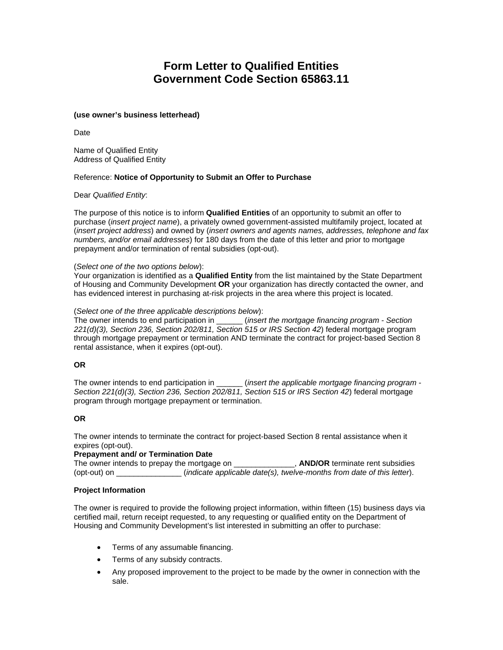# **Form Letter to Qualified Entities Government Code Section [65863.11](https://65863.11)**

## **(use owner's business letterhead)**

Date

**Address of Qualified Entity** Name of Qualified Entity

# Address of Qualified Entity<br>Reference: **Notice of Opportunity to Submit an Offer to Purchase**

Dear *Qualified Entity*:

The purpose of this notice is to inform **Qualified Entities** of an opportunity to submit an offer to purchase (*insert project name*), a privately owned government-assisted multifamily project, located at (*insert project address*) and owned by (*insert owners and agents names, addresses, telephone and fax numbers, and/or email addresses*) for 180 days from the date of this letter and prior to mortgage prepayment and/or termination of rental subsidies (opt-out).

## (*Select one of the two options below*):

Your organization is identified as a **Qualified Entity** from the list maintained by the State Department of Housing and Community Development **OR** your organization has directly contacted the owner, and has evidenced interest in purchasing at-risk projects in the area where this project is located.

## (*Select one of the three applicable descriptions below*):

The owner intends to end participation in \_\_\_\_\_\_ (*insert the mortgage financing program - Section 221(d)(3), Section 236, Section 202/811, Section 515 or IRS Section 42*) federal mortgage program through mortgage prepayment or termination AND terminate the contract for project-based Section 8 rental assistance, when it expires (opt-out).

# **OR**

The owner intends to end participation in \_\_\_\_\_\_ (*insert the applicable mortgage financing program - Section 221(d)(3), Section 236, Section 202/811, Section 515 or IRS Section 42*) federal mortgage program through mortgage prepayment or termination.

# **OR**

The owner intends to terminate the contract for project-based Section 8 rental assistance when it expires (opt-out).

#### **Prepayment and/ or Termination Date**

The owner intends to prepay the mortgage on **AND/OR** terminate rent subsidies (opt-out) on \_\_\_\_\_\_\_\_\_\_\_\_\_\_\_ (*indicate applicable date(s), twelve-months from date of this letter*).

# **Project Information**

The owner is required to provide the following project information, within fifteen (15) business days via certified mail, return receipt requested, to any requesting or qualified entity on the Department of Housing and Community Development's list interested in submitting an offer to purchase:

- Terms of any assumable financing.
- Terms of any subsidy contracts.
- Any proposed improvement to the project to be made by the owner in connection with the sale.